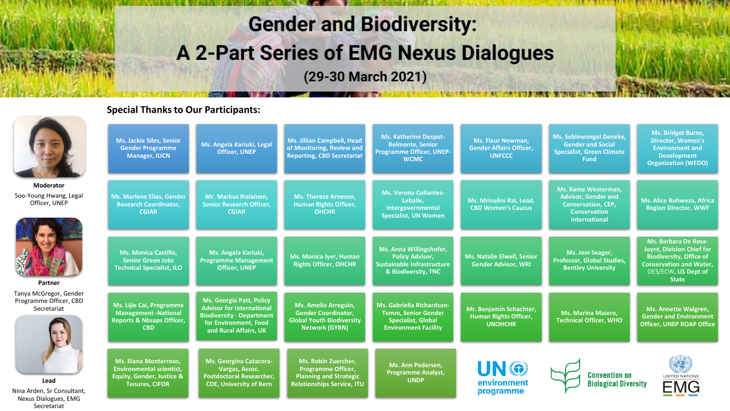# **Gender and Biodiversity: A 2-Part Series of EMG Nexus Dialogues**

(29-30 March 2021)

#### **Special Thanks to Our Participants:**

**Nina** 

Nexus Dialogues, EMG Secretariat

|                                                                 | <b>Ms. Jackie Siles, Senior</b><br><b>Gender Programme</b><br><b>Manager, IUCN</b>                                         | Ms. Angela Kariuki, Legal<br><b>Officer, UNEP</b>                                                                                                         | <b>Ms. Jillian Campbell, Head</b><br>of Monitoring, Review and<br><b>Reporting, CBD Secretariat</b>                           | <b>Ms. Katherine Despot-</b><br><b>Belmonte, Senior</b><br><b>Programme Officer, UNEP-</b><br><b>WCMC</b>           | <b>Ms. Fleur Newman,</b><br><b>Gender Affairs Officer,</b><br><b>UNFCCC</b> | <b>Ms. Seblewongel Deneke,</b><br><b>Gender and Social</b><br><b>Specialist, Green Climate</b><br><b>Fund</b> | Ms. Bridget Burns,<br><b>Director, Women's</b><br><b>Environment and</b><br><b>Development</b><br><b>Organization (WEDO)</b>                                 |
|-----------------------------------------------------------------|----------------------------------------------------------------------------------------------------------------------------|-----------------------------------------------------------------------------------------------------------------------------------------------------------|-------------------------------------------------------------------------------------------------------------------------------|---------------------------------------------------------------------------------------------------------------------|-----------------------------------------------------------------------------|---------------------------------------------------------------------------------------------------------------|--------------------------------------------------------------------------------------------------------------------------------------------------------------|
| Moderator                                                       |                                                                                                                            |                                                                                                                                                           |                                                                                                                               | <b>Ms. Verona Collantes-</b>                                                                                        |                                                                             | Ms. Kame Westerman.                                                                                           |                                                                                                                                                              |
| Soo-Young Hwang, Legal<br>Officer, UNEP                         | <b>Ms. Marlene Elias, Gender</b><br><b>Research Coordinator,</b><br><b>CGIAR</b>                                           | Mr. Markus Ihalainen,<br><b>Senior Research Officer,</b><br><b>CGIAR</b>                                                                                  | <b>Ms. Therese Arnesen,</b><br><b>Human Rights Officer,</b><br><b>OHCHR</b>                                                   | Leballe.<br>Intergovernmental<br><b>Specialist, UN Women</b>                                                        | Ms. Mrinalini Rai, Lead,<br><b>CBD Women's Caucus</b>                       | <b>Advisor, Gender and</b><br><b>Conservation, CEP,</b><br><b>Conservation</b><br><b>International</b>        | Ms. Alice Ruhweza, Africa<br><b>Region Director, WWF</b>                                                                                                     |
|                                                                 |                                                                                                                            |                                                                                                                                                           |                                                                                                                               |                                                                                                                     |                                                                             |                                                                                                               |                                                                                                                                                              |
| Partner                                                         | <b>Ms. Monica Castillo,</b><br><b>Senior Green Jobs</b><br><b>Technical Specialist, ILO</b>                                | Ms. Angela Kariuki,<br><b>Programme Management</b><br><b>Officer, UNEP</b>                                                                                | Ms. Monica Iyer, Human<br><b>Rights Officer, OHCHR</b>                                                                        | Ms. Anna Willingshofer,<br><b>Policy Advisor,</b><br><b>Sustainable Infrastructure</b><br>& Biodiversity, TNC       | <b>Ms. Natalie Elwell, Senior</b><br><b>Gender Advisor, WRI</b>             | Ms. Joni Seager,<br><b>Professor, Global Studies,</b><br><b>Bentley University</b>                            | Ms. Barbara De Rosa-<br>Joynt, Division Chief for<br><b>Biodiversity, Office of</b><br><b>Conservation and Water,</b><br>OES/ECW, US Dept of<br><b>State</b> |
| Tanya McGregor, Gender<br>Programme Officer, CBD<br>Secretariat | Ms. Lijie Cai, Programme<br><b>Management -National</b><br><b>Reports &amp; Nbsaps Officer,</b><br><b>CBD</b>              | <b>Ms. Georgia Patt, Policy</b><br><b>Advisor for International</b><br><b>Biodiversity · Department</b><br>for Environment, Food<br>and Rural Affairs, UK | Ms. Amelia Arreguin,<br><b>Gender Coordinator,</b><br><b>Global Youth Biodiversity</b><br><b>Network (GYBN)</b>               | Ms. Gabriella Richardson-<br><b>Temm, Senior Gender</b><br><b>Specialist, Global</b><br><b>Environment Facility</b> | Mr. Benjamin Schachter,<br><b>Human Rights Officer,</b><br><b>UNOHCHR</b>   | <b>Ms. Marina Maiero,</b><br><b>Technical Officer, WHO</b>                                                    | <b>Ms. Annette Walgren,</b><br><b>Gender and Environment</b><br><b>Officer, UNEP ROAP Office</b>                                                             |
| Lead<br>Nina Arden, Sr Consultant,                              | Ms. Iliana Monterroso,<br><b>Environmental scientist,</b><br><b>Equity, Gender, Justice &amp;</b><br><b>Tenures, CIFOR</b> | Ms. Georgina Catacora-<br>Vargas, Assoc.<br><b>Postdoctoral Researcher,</b><br><b>CDE, University of Bern</b>                                             | <b>Ms. Robin Zuercher,</b><br><b>Programme Officer,</b><br><b>Planning and Strategic</b><br><b>Relationships Service, ITU</b> | Ms. Ann Pedersen,<br><b>Programme Analyst,</b><br><b>UNDP</b>                                                       | UN ®<br>environment<br>programme                                            | <b>Convention on</b><br><b>Biological Diversity</b>                                                           | UNITED NATIONS<br><b>EMG</b>                                                                                                                                 |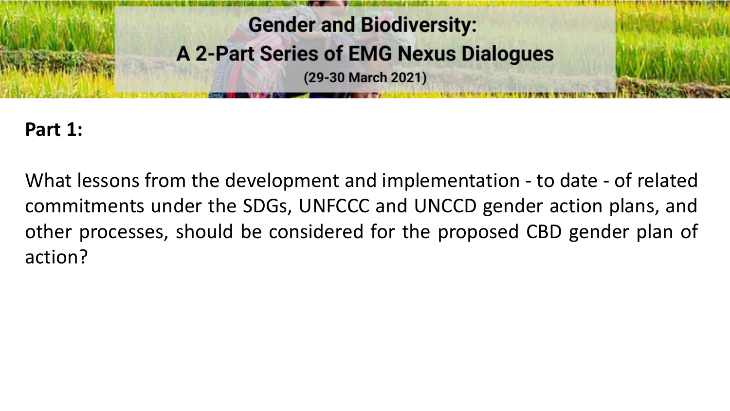

### **Part 1:**

What lessons from the development and implementation - to date - of related commitments under the SDGs, UNFCCC and UNCCD gender action plans, and other processes, should be considered for the proposed CBD gender plan of action?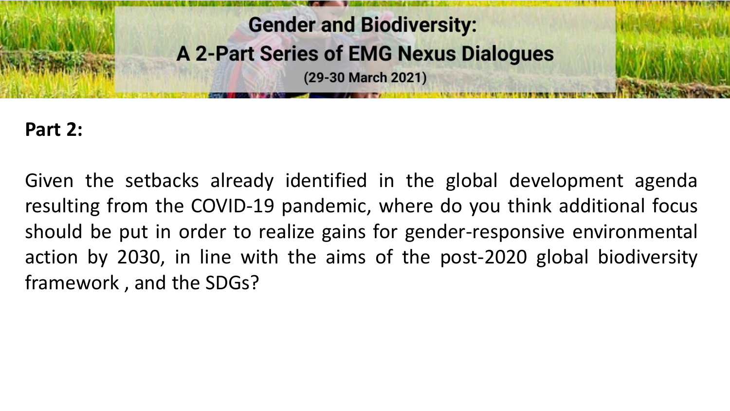

#### **Part 2:**

Given the setbacks already identified in the global development agenda resulting from the COVID-19 pandemic, where do you think additional focus should be put in order to realize gains for gender-responsive environmental action by 2030, in line with the aims of the post-2020 global biodiversity framework , and the SDGs?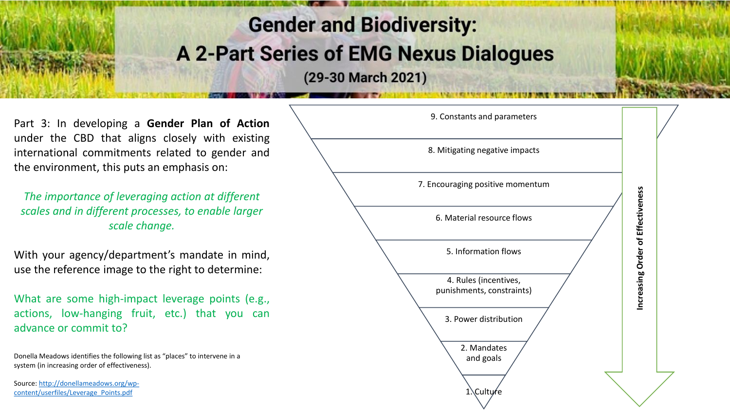## **Gender and Biodiversity: A 2-Part Series of EMG Nexus Dialogues**

(29-30 March 2021)

Part 3 : In developing a **Gender Plan of Action** under the CBD that aligns closely with existing international commitments related to gender and the environment, this puts an emphasis on :

*The importance of leveraging action at different scales and in different processes, to enable larger scale change.* 

With your agency/department's mandate in mind, use the reference image to the right to determine :

What are some high-impact leverage points (e.g., actions, low -hanging fruit, etc . ) that you can advance or commit to?

Donella Meadows identifies the following list as "places" to intervene in a system (in increasing order of effectiveness).

[Source: http://donellameadows.org/wp](http://donellameadows.org/wp-content/userfiles/Leverage_Points.pdf)content/userfiles/Leverage\_Points.pdf